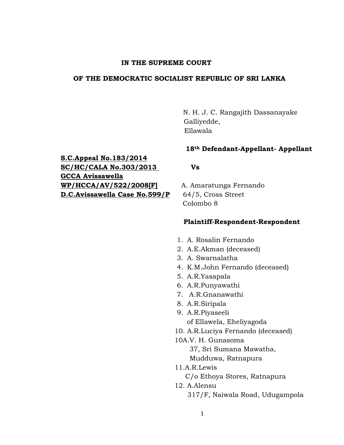### **IN THE SUPREME COURT**

## **OF THE DEMOCRATIC SOCIALIST REPUBLIC OF SRI LANKA**

 N. H. J. C. Rangajith Dassanayake Galliyedde, Ellawala

### **18th Defendant-Appellant- Appellant**

**S.C.Appeal No.183/2014 SC/HC/CALA No.303/2013 Vs GCCA Avissawella WP/HCCA/AV/522/2008[F]** A. Amaratunga Fernando **D.C.Avissawella Case No.599/P** 64/5, Cross Street

Colombo 8

#### **Plaintiff-Respondent-Respondent**

- 1. A. Rosalin Fernando
- 2. A.E.Akman (deceased)
- 3. A. Swarnalatha
- 4. K.M.John Fernando (deceased)
- 5. A.R.Yasapala
- 6. A.R.Punyawathi
- 7. A.R.Gnanawathi
- 8. A.R.Siripala
- 9. A.R.Piyaseeli of Ellawela, Eheliyagoda
- 10. A.R.Luciya Fernando (deceased)
- 10A.V. H. Gunasoma

 37, Sri Sumana Mawatha, Mudduwa, Ratnapura

11.A.R.Lewis

- C/o Ethoya Stores, Ratnapura
- 12. A.Alensu 317/F, Naiwala Road, Udugampola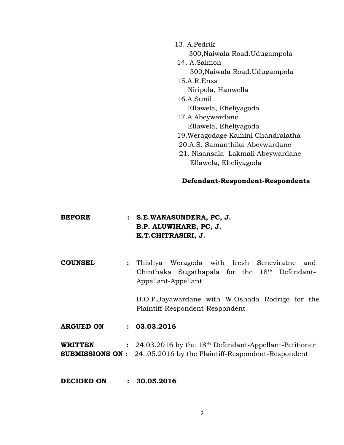13. A.Pedrik

300,Naiwala Road.Udugampola

- 14. A.Saimon 300,Naiwala Road.Udugampola 15.A.R.Ensa Niripola, Hanwella 16.A.Sunil Ellawela, Eheliyagoda
- 17.A.Abeywardane Ellawela, Eheliyagoda
- 19.Weragodage Kamini Chandralatha
- 20.A.S. Samanthika Abeywardane
- 21. Nisansala Lakmali Abeywardane Ellawela, Eheliyagoda

## **Defendant-Respondent-Respondents**

| <b>BEFORE</b> | : S.E.WANASUNDERA, PC, J. |
|---------------|---------------------------|
|               | B.P. ALUWIHARE, PC, J.    |
|               | K.T.CHITRASIRI, J.        |

**COUNSEL :** Thishya Weragoda with Iresh Seneviratne and Chinthaka Sugathapala for the 18th Defendant-Appellant-Appellant

> B.O.P.Jayawardane with W.Oshada Rodrigo for the Plaintiff-Respondent-Respondent

**ARGUED ON : 03.03.2016**

**WRITTEN :** 24.03.2016 by the 18th Defendant-Appellant-Petitioner **SUBMISSIONS ON :** 24..05.2016 by the Plaintiff-Respondent-Respondent

## **DECIDED ON : 30.05.2016**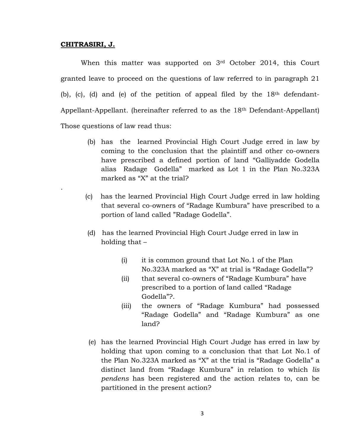#### **CHITRASIRI, J.**

.

When this matter was supported on 3<sup>rd</sup> October 2014, this Court granted leave to proceed on the questions of law referred to in paragraph 21 (b), (c), (d) and (e) of the petition of appeal filed by the  $18<sup>th</sup>$  defendant-Appellant-Appellant. (hereinafter referred to as the 18th Defendant-Appellant) Those questions of law read thus:

- (b) has the learned Provincial High Court Judge erred in law by coming to the conclusion that the plaintiff and other co-owners have prescribed a defined portion of land "Galliyadde Godella alias Radage Godella" marked as Lot 1 in the Plan No.323A marked as "X" at the trial?
- (c) has the learned Provincial High Court Judge erred in law holding that several co-owners of "Radage Kumbura" have prescribed to a portion of land called "Radage Godella".
- (d) has the learned Provincial High Court Judge erred in law in holding that –
	- (i) it is common ground that Lot No.1 of the Plan No.323A marked as "X" at trial is "Radage Godella"?
	- (ii) that several co-owners of "Radage Kumbura" have prescribed to a portion of land called "Radage Godella"?.
	- (iii) the owners of "Radage Kumbura" had possessed "Radage Godella" and "Radage Kumbura" as one land?
- (e) has the learned Provincial High Court Judge has erred in law by holding that upon coming to a conclusion that that Lot No.1 of the Plan No.323A marked as "X" at the trial is "Radage Godella" a distinct land from "Radage Kumbura" in relation to which *lis pendens* has been registered and the action relates to, can be partitioned in the present action?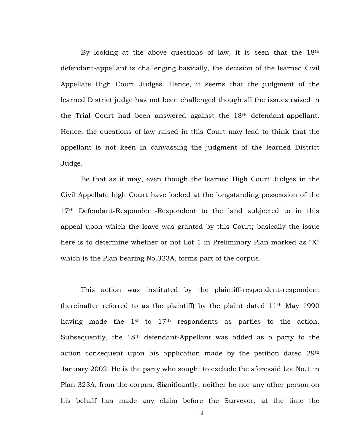By looking at the above questions of law, it is seen that the 18th defendant-appellant is challenging basically, the decision of the learned Civil Appellate High Court Judges. Hence, it seems that the judgment of the learned District judge has not been challenged though all the issues raised in the Trial Court had been answered against the 18th defendant-appellant. Hence, the questions of law raised in this Court may lead to think that the appellant is not keen in canvassing the judgment of the learned District Judge.

Be that as it may, even though the learned High Court Judges in the Civil Appellate high Court have looked at the longstanding possession of the 17<sup>th</sup> Defendant-Respondent-Respondent to the land subjected to in this appeal upon which the leave was granted by this Court; basically the issue here is to determine whether or not Lot 1 in Preliminary Plan marked as "X" which is the Plan bearing No.323A, forms part of the corpus.

This action was instituted by the plaintiff-respondent-respondent (hereinafter referred to as the plaintiff) by the plaint dated  $11<sup>th</sup>$  May 1990 having made the  $1<sup>st</sup>$  to  $17<sup>th</sup>$  respondents as parties to the action. Subsequently, the 18<sup>th</sup> defendant-Appellant was added as a party to the action consequent upon his application made by the petition dated 29th January 2002. He is the party who sought to exclude the aforesaid Lot No.1 in Plan 323A, from the corpus. Significantly, neither he nor any other person on his behalf has made any claim before the Surveyor, at the time the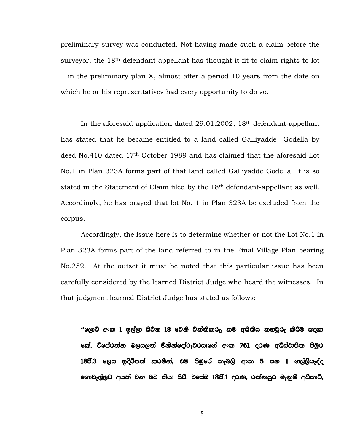preliminary survey was conducted. Not having made such a claim before the surveyor, the 18<sup>th</sup> defendant-appellant has thought it fit to claim rights to lot 1 in the preliminary plan X, almost after a period 10 years from the date on which he or his representatives had every opportunity to do so.

In the aforesaid application dated 29.01.2002, 18th defendant-appellant has stated that he became entitled to a land called Galliyadde Godella by deed No.410 dated 17th October 1989 and has claimed that the aforesaid Lot No.1 in Plan 323A forms part of that land called Galliyadde Godella. It is so stated in the Statement of Claim filed by the 18th defendant-appellant as well. Accordingly, he has prayed that lot No. 1 in Plan 323A be excluded from the corpus.

Accordingly, the issue here is to determine whether or not the Lot No.1 in Plan 323A forms part of the land referred to in the Final Village Plan bearing No.252. At the outset it must be noted that this particular issue has been carefully considered by the learned District Judge who heard the witnesses. In that judgment learned District Judge has stated as follows:

"ලොට් අංක 1 ඉල්ලා සිටින 18 වෙනි වි**ත්තිකරු, තම අයිතිය තහවූරු කිරීම සද**හා කේ. විපේරත්න බලයලත් මිනින්දෝරුවරයාගේ අංක 761 දරණ අධ්ස්ථාපිත පිඹුර 18වී.3 ලෙස ඉදිරිපත් කරමින්, එම පිඹුරේ කැබලි අංක 5 සහ 1 ගල්ලියැද්ද ගොඩැල්ලට අයත් වන බව කියා සිටි. එසේම 18වී.1 දරණ, රත්නපුර මැනුම් අධ්කාරී,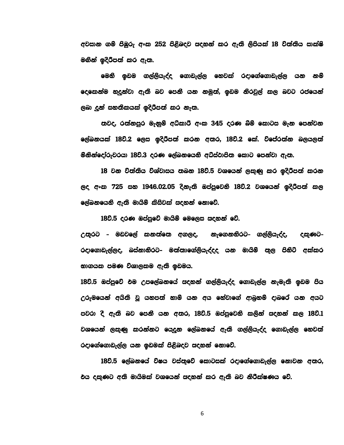අවසාන ගම් පිඹුරු අංක 252 පිළිබදව සදහන් කර ඇති ලිපියක් 18 වත්තිය සාක්ෂි මගින් ඉදිරිපත් කර ඇත.

මෙහි ඉඩම ගල්ලියැද්ද ගොඩැල්ල හෙවක් රදාගේගොඩැල්ල යන නම් දෙකෙන්ම හදුන්වා ඇති බව පෙනී යන නමුත්, ඉඩම නිරවුල් කල බවට රජයෙන් ලබා දුන් සහතිකයක් ඉදිරිපත් කර නැත.

තවද, රත්නපුර මැනුම් අධිකාරී අංක 345 දරණ බිම් කොටස මැන පෙන්වන ලේඛනයක් 18වි.2 ලෙස ඉදිරිපත් කරන අතර, 18වි.2 කේ. විපේරත්න බලයලත් මනින්දෝරුවරයා 18වි.3 දරණ ලේඛනයෙහි අධ්ස්ථාපිත කොට පෙන්වා ඇත.

18 වන විත්තිය විශ්වාසය තබන 18වි.5 වශයෙන් ලකුණු කර ඉදිරිපත් කරන ලද අංක 725 සහ 1946.02.05 දිනැති ඔප්පුවෙනි 18ව.2 වශයෙන් ඉදිරිපත් කල ලේඛනයෙහි ඇති මායිම් කිසිවක් සදහන් නොවේ.

18ව.5 දරණ ඔප්පුවේ මායිම් මෙලෙස සදහන් වේ.

උතුරට - මඩවලේ කනත්තෙ අගලද, නැගෙනහිරට- ගල්ලියැද්ද, දකුණට-රදාගොඩැල්ලද, බස්නානිරට- මන්නාගේලියැද්දද යන මායිම් තුල පිනිටි අක්කර හාගයක පමණ විශාලකම ඇති ඉඩමය.

18ව.5 ඔප්පුවේ එම උපලේඛනයේ සදහන් ගල්ලියැද්ද ගොඩැල්ල නැමැති ඉඩම පිය උරුමයෙන් අයිති වූ යහපත් හාම් යන අය හේවාගේ ආබුහම් දාබරේ යන අයට පවරා දී ඇති බව පෙනී යන අතර, 18වි.5 ඔප්පුවෙනි කලින් සදහන් කල 18වි.1 වශයෙන් ලකුණු කරන්නට යෙදුන ලේඛනයේ ඇති ගල්ලියැද්ද ගොඩැල්ල හෙවත් රදාගේගොඩැල්ල යන ඉඩමක් පිළිබදව සදහන් නොවේ.

18ව.5 ලේඛනයේ විෂය වස්තුවේ කොටසක් රදාගේගොඩැල්ල නොවන අතර, එය දකුණට අනි මායිමක් වශයෙන් සදහන් කර ඇති බව නිරීක්ෂණය වේ.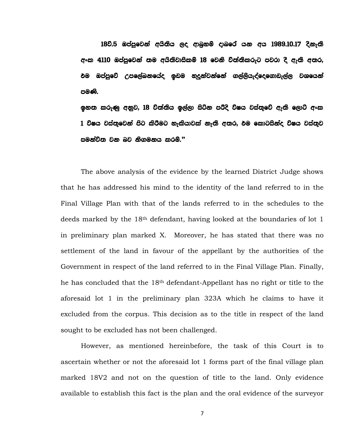18වි.5 ඔප්පුවෙන් අයිතිය ලද ආබුනම් දාබරේ යන අය 1989.10.17 දිනැති අංක 4110 ඔප්පුවෙන් තම අයිතිවාසිකම් 18 වෙනි විත්තිකරුට පවරා දී ඇති අතර, <u>එම ඔප්පුවේ උපලේඛනයේද ඉඩම හදුන්වන්නේ ගල්ලියැද්දෙගොඩැල්ල වශයෙන්</u> පමණි.

ඉහත කරුණු අනුව, 18 විත්තිය ඉල්ලා සිටින පරිදි විෂය වස්තුවේ ඇති ලොට් අංක 1 විෂය වස්තුවෙන් පිට කිරීමට හැකියාවක් නැති අතර, එම කොටසින්ද විෂය වස්තුව සමන්විත වන බව නිගමන**ය කරම්.**"

The above analysis of the evidence by the learned District Judge shows that he has addressed his mind to the identity of the land referred to in the Final Village Plan with that of the lands referred to in the schedules to the deeds marked by the 18th defendant, having looked at the boundaries of lot 1 in preliminary plan marked X. Moreover, he has stated that there was no settlement of the land in favour of the appellant by the authorities of the Government in respect of the land referred to in the Final Village Plan. Finally, he has concluded that the 18th defendant-Appellant has no right or title to the aforesaid lot 1 in the preliminary plan 323A which he claims to have it excluded from the corpus. This decision as to the title in respect of the land sought to be excluded has not been challenged.

However, as mentioned hereinbefore, the task of this Court is to ascertain whether or not the aforesaid lot 1 forms part of the final village plan marked 18V2 and not on the question of title to the land. Only evidence available to establish this fact is the plan and the oral evidence of the surveyor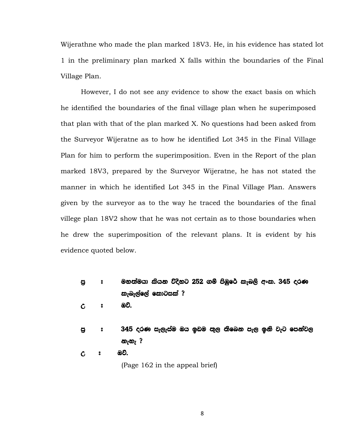Wijerathne who made the plan marked 18V3. He, in his evidence has stated lot 1 in the preliminary plan marked X falls within the boundaries of the Final Village Plan.

However, I do not see any evidence to show the exact basis on which he identified the boundaries of the final village plan when he superimposed that plan with that of the plan marked X. No questions had been asked from the Surveyor Wijeratne as to how he identified Lot 345 in the Final Village Plan for him to perform the superimposition. Even in the Report of the plan marked 18V3, prepared by the Surveyor Wijeratne, he has not stated the manner in which he identified Lot 345 in the Final Village Plan. Answers given by the surveyor as to the way he traced the boundaries of the final villege plan 18V2 show that he was not certain as to those boundaries when he drew the superimposition of the relevant plans. It is evident by his evidence quoted below.

- පු  $\cdot$  මහත්මයා කියන විදිහට 252 ගම් පිඹුරේ කැබලි අංක. 345 දරණ කැබැල්ලේ කොටස**ක්** ?
- W # Tjs'
- පු **8 345 දරණ සැලැස්ම ඔය ඉඩම තුල තිබෙන** පැල ඉනි වැට පෙන්වල නැහැ ?
- $C$   $\circ$   $\emptyset$ .

(Page 162 in the appeal brief)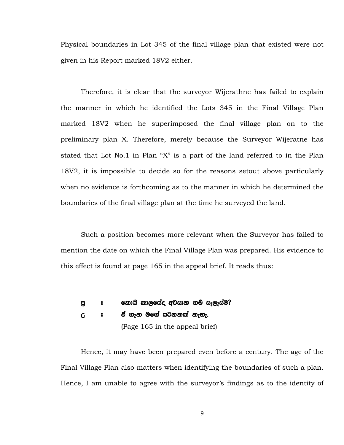Physical boundaries in Lot 345 of the final village plan that existed were not given in his Report marked 18V2 either.

Therefore, it is clear that the surveyor Wijerathne has failed to explain the manner in which he identified the Lots 345 in the Final Village Plan marked 18V2 when he superimposed the final village plan on to the preliminary plan X. Therefore, merely because the Surveyor Wijeratne has stated that Lot No.1 in Plan "X" is a part of the land referred to in the Plan 18V2, it is impossible to decide so for the reasons setout above particularly when no evidence is forthcoming as to the manner in which he determined the boundaries of the final village plan at the time he surveyed the land.

Such a position becomes more relevant when the Surveyor has failed to mention the date on which the Final Village Plan was prepared. His evidence to this effect is found at page 165 in the appeal brief. It reads thus:

# පු ඃ කොයි කාලයේද අවසාන ගම් සැලැස්ම?

#### W # ta .ek uf.a igykla keye'

(Page 165 in the appeal brief)

Hence, it may have been prepared even before a century. The age of the Final Village Plan also matters when identifying the boundaries of such a plan. Hence, I am unable to agree with the surveyor's findings as to the identity of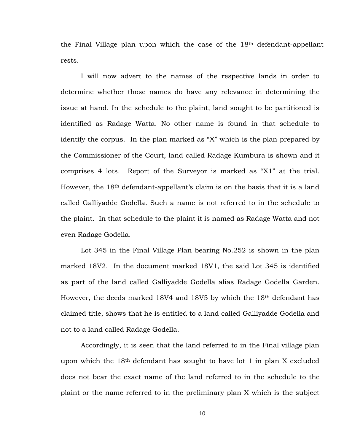the Final Village plan upon which the case of the 18th defendant-appellant rests.

I will now advert to the names of the respective lands in order to determine whether those names do have any relevance in determining the issue at hand. In the schedule to the plaint, land sought to be partitioned is identified as Radage Watta. No other name is found in that schedule to identify the corpus. In the plan marked as "X" which is the plan prepared by the Commissioner of the Court, land called Radage Kumbura is shown and it comprises 4 lots. Report of the Surveyor is marked as "X1" at the trial. However, the 18th defendant-appellant's claim is on the basis that it is a land called Galliyadde Godella. Such a name is not referred to in the schedule to the plaint. In that schedule to the plaint it is named as Radage Watta and not even Radage Godella.

Lot 345 in the Final Village Plan bearing No.252 is shown in the plan marked 18V2. In the document marked 18V1, the said Lot 345 is identified as part of the land called Galliyadde Godella alias Radage Godella Garden. However, the deeds marked 18V4 and 18V5 by which the 18<sup>th</sup> defendant has claimed title, shows that he is entitled to a land called Galliyadde Godella and not to a land called Radage Godella.

Accordingly, it is seen that the land referred to in the Final village plan upon which the  $18<sup>th</sup>$  defendant has sought to have lot 1 in plan X excluded does not bear the exact name of the land referred to in the schedule to the plaint or the name referred to in the preliminary plan X which is the subject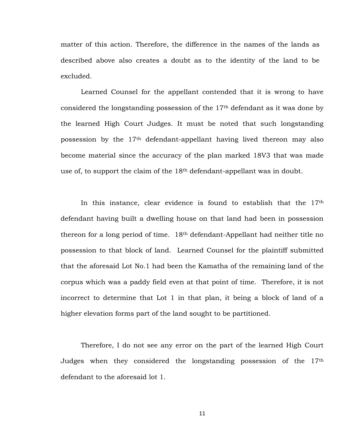matter of this action. Therefore, the difference in the names of the lands as described above also creates a doubt as to the identity of the land to be excluded.

Learned Counsel for the appellant contended that it is wrong to have considered the longstanding possession of the  $17<sup>th</sup>$  defendant as it was done by the learned High Court Judges. It must be noted that such longstanding possession by the 17th defendant-appellant having lived thereon may also become material since the accuracy of the plan marked 18V3 that was made use of, to support the claim of the 18<sup>th</sup> defendant-appellant was in doubt.

In this instance, clear evidence is found to establish that the  $17<sup>th</sup>$ defendant having built a dwelling house on that land had been in possession thereon for a long period of time. 18th defendant-Appellant had neither title no possession to that block of land. Learned Counsel for the plaintiff submitted that the aforesaid Lot No.1 had been the Kamatha of the remaining land of the corpus which was a paddy field even at that point of time. Therefore, it is not incorrect to determine that Lot 1 in that plan, it being a block of land of a higher elevation forms part of the land sought to be partitioned.

Therefore, I do not see any error on the part of the learned High Court Judges when they considered the longstanding possession of the 17th defendant to the aforesaid lot 1.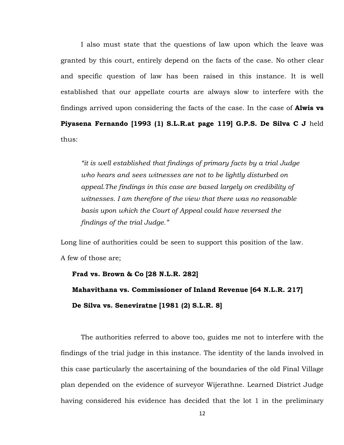I also must state that the questions of law upon which the leave was granted by this court, entirely depend on the facts of the case. No other clear and specific question of law has been raised in this instance. It is well established that our appellate courts are always slow to interfere with the findings arrived upon considering the facts of the case. In the case of **Alwis vs Piyasena Fernando [1993 (1) S.L.R.at page 119] G.P.S. De Silva C J** held thus:

*"it is well established that findings of primary facts by a trial Judge who hears and sees witnesses are not to be lightly disturbed on appeal.The findings in this case are based largely on credibility of witnesses. I am therefore of the view that there was no reasonable basis upon which the Court of Appeal could have reversed the findings of the trial Judge."*

Long line of authorities could be seen to support this position of the law. A few of those are;

```
 Frad vs. Brown & Co [28 N.L.R. 282]
Mahavithana vs. Commissioner of Inland Revenue [64 N.L.R. 217]
De Silva vs. Seneviratne [1981 (2) S.L.R. 8]
```
The authorities referred to above too, guides me not to interfere with the findings of the trial judge in this instance. The identity of the lands involved in this case particularly the ascertaining of the boundaries of the old Final Village plan depended on the evidence of surveyor Wijerathne. Learned District Judge having considered his evidence has decided that the lot 1 in the preliminary